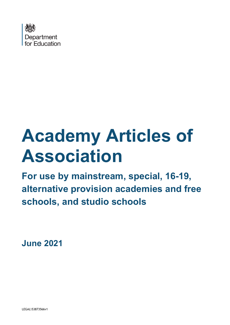

# **Academy Articles of Association**

**For use by mainstream, special, 16-19, alternative provision academies and free schools, and studio schools** 

**June 2021**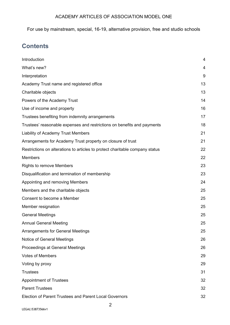For use by mainstream, special, 16-19, alternative provision, free and studio schools

# **Contents**

| Introduction                                                                 | 4  |
|------------------------------------------------------------------------------|----|
| What's new?                                                                  | 4  |
| Interpretation                                                               | 9  |
| Academy Trust name and registered office                                     | 13 |
| Charitable objects                                                           | 13 |
| Powers of the Academy Trust                                                  | 14 |
| Use of income and property                                                   | 16 |
| Trustees benefiting from indemnity arrangements                              | 17 |
| Trustees' reasonable expenses and restrictions on benefits and payments      | 18 |
| Liability of Academy Trust Members                                           | 21 |
| Arrangements for Academy Trust property on closure of trust                  | 21 |
| Restrictions on alterations to articles to protect charitable company status | 22 |
| <b>Members</b>                                                               | 22 |
| <b>Rights to remove Members</b>                                              | 23 |
| Disqualification and termination of membership                               | 23 |
| Appointing and removing Members                                              | 24 |
| Members and the charitable objects                                           | 25 |
| Consent to become a Member                                                   | 25 |
| Member resignation                                                           | 25 |
| <b>General Meetings</b>                                                      | 25 |
| <b>Annual General Meeting</b>                                                | 25 |
| <b>Arrangements for General Meetings</b>                                     | 25 |
| <b>Notice of General Meetings</b>                                            | 26 |
| Proceedings at General Meetings                                              | 26 |
| <b>Votes of Members</b>                                                      | 29 |
| Voting by proxy                                                              | 29 |
| <b>Trustees</b>                                                              | 31 |
| <b>Appointment of Trustees</b>                                               | 32 |
| <b>Parent Trustees</b>                                                       | 32 |
| <b>Election of Parent Trustees and Parent Local Governors</b>                | 32 |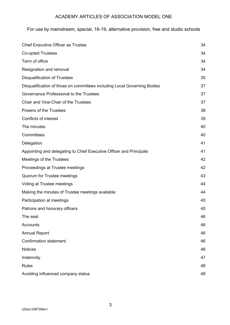| Chief Executive Officer as Trustee                                       | 34 |
|--------------------------------------------------------------------------|----|
| <b>Co-opted Trustees</b>                                                 | 34 |
| Term of office                                                           | 34 |
| Resignation and removal                                                  | 34 |
| <b>Disqualification of Trustees</b>                                      | 35 |
| Disqualification of those on committees including Local Governing Bodies | 37 |
| Governance Professional to the Trustees                                  | 37 |
| Chair and Vice-Chair of the Trustees                                     | 37 |
| Powers of the Trustees                                                   | 38 |
| <b>Conflicts of interest</b>                                             | 39 |
| The minutes                                                              | 40 |
| Committees                                                               | 40 |
| Delegation                                                               | 41 |
| Appointing and delegating to Chief Executive Officer and Principals      | 41 |
| Meetings of the Trustees                                                 | 42 |
| Proceedings at Trustee meetings                                          | 42 |
| Quorum for Trustee meetings                                              | 43 |
| Voting at Trustee meetings                                               | 44 |
| Making the minutes of Trustee meetings available                         | 44 |
| Participation at meetings                                                | 45 |
| Patrons and honorary officers                                            | 45 |
| The seal                                                                 | 46 |
| Accounts                                                                 | 46 |
| <b>Annual Report</b>                                                     | 46 |
| <b>Confirmation statement</b>                                            | 46 |
| <b>Notices</b>                                                           | 46 |
| Indemnity                                                                | 47 |
| <b>Rules</b>                                                             | 48 |
| Avoiding influenced company status                                       | 48 |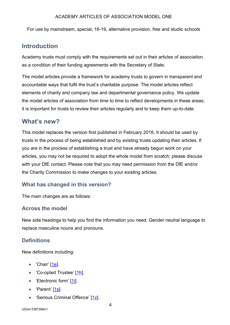For use by mainstream, special, 16-19, alternative provision, free and studio schools

## **Introduction**

Academy trusts must comply with the requirements set out in their articles of association as a condition of their funding agreements with the Secretary of State.

The model articles provide a framework for academy trusts to govern in transparent and accountable ways that fulfil the trust's charitable purpose. The model articles reflect elements of charity and company law and departmental governance policy. We update the model articles of association from time to time to reflect developments in these areas; it is important for trusts to review their articles regularly and to keep them up-to-date.

## **What's new?**

This model replaces the version first published in February 2016. It should be used by trusts in the process of being established and by existing trusts updating their articles. If you are in the process of establishing a trust and have already begun work on your articles, you may not be required to adopt the whole model from scratch; please discuss with your DfE contact. Please note that you may need permission from the DfE and/or the Charity Commission to make changes to your existing articles.

## **What has changed in this version?**

The main changes are as follows:

## **Across the model**

New side headings to help you find the information you need. Gender neutral language to replace masculine nouns and pronouns.

## **Definitions**

New definitions including:

- 'Chair'  $[1e]$ .
- 'Co-opted Trustee' [1h].
- 'Electronic form' [1i].
- 'Parent' [1s].
- 'Serious Criminal Offence' [1z].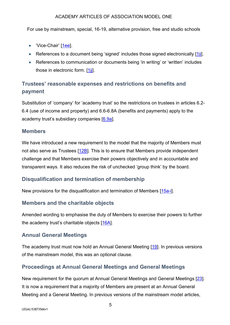For use by mainstream, special, 16-19, alternative provision, free and studio schools

- 'Vice-Chair' [1ee].
- References to a document being 'signed' includes those signed electronically [1ii].
- References to communication or documents being 'in writing' or 'written' includes those in electronic form. [1jj].

# **Trustees' reasonable expenses and restrictions on benefits and payment**

Substitution of 'company' for 'academy trust' so the restrictions on trustees in articles 6.2- 6.4 (use of income and property) and 6.6-6.8A (benefits and payments) apply to the academy trust's subsidiary companies [6.9a].

## **Members**

We have introduced a new requirement to the model that the majority of Members must not also serve as Trustees [12B]. This is to ensure that Members provide independent challenge and that Members exercise their powers objectively and in accountable and transparent ways. It also reduces the risk of unchecked 'group think' by the board.

## **Disqualification and termination of membership**

New provisions for the disqualification and termination of Members [15a-i].

## **Members and the charitable objects**

Amended wording to emphasise the duty of Members to exercise their powers to further the academy trust's charitable objects [16A].

## **Annual General Meetings**

The academy trust must now hold an Annual General Meeting [19]. In previous versions of the mainstream model, this was an optional clause.

## **Proceedings at Annual General Meetings and General Meetings**

New requirement for the quorum at Annual General Meetings and General Meetings [23]. It is now a requirement that a majority of Members are present at an Annual General Meeting and a General Meeting. In previous versions of the mainstream model articles,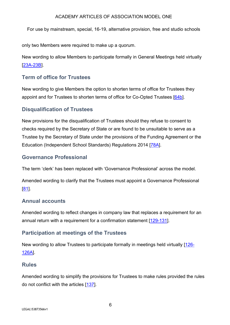For use by mainstream, special, 16-19, alternative provision, free and studio schools

only two Members were required to make up a quorum.

New wording to allow Members to participate formally in General Meetings held virtually [23A-23B].

## **Term of office for Trustees**

New wording to give Members the option to shorten terms of office for Trustees they appoint and for Trustees to shorten terms of office for Co-Opted Trustees [64b].

## **Disqualification of Trustees**

New provisions for the disqualification of Trustees should they refuse to consent to checks required by the Secretary of State or are found to be unsuitable to serve as a Trustee by the Secretary of State under the provisions of the Funding Agreement or the Education (Independent School Standards) Regulations 2014 [78A].

## **Governance Professional**

The term 'clerk' has been replaced with 'Governance Professional' across the model.

Amended wording to clarify that the Trustees must appoint a Governance Professional [81].

## **Annual accounts**

Amended wording to reflect changes in company law that replaces a requirement for an annual return with a requirement for a confirmation statement [129-131].

## **Participation at meetings of the Trustees**

New wording to allow Trustees to participate formally in meetings held virtually [126- 126A].

## **Rules**

Amended wording to simplify the provisions for Trustees to make rules provided the rules do not conflict with the articles [137].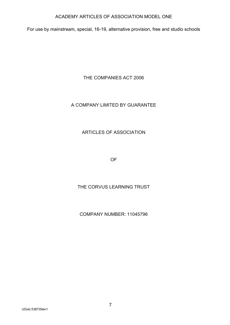For use by mainstream, special, 16-19, alternative provision, free and studio schools

THE COMPANIES ACT 2006

## A COMPANY LIMITED BY GUARANTEE

## ARTICLES OF ASSOCIATION

OF

## THE CORVUS LEARNING TRUST

## COMPANY NUMBER: 11045796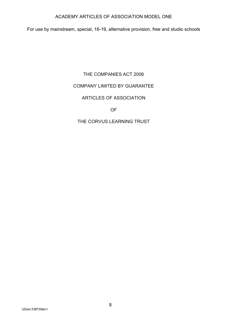For use by mainstream, special, 16-19, alternative provision, free and studio schools

## THE COMPANIES ACT 2006

#### COMPANY LIMITED BY GUARANTEE

#### ARTICLES OF ASSOCIATION

OF

#### THE CORVUS LEARNING TRUST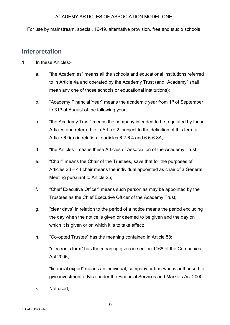For use by mainstream, special, 16-19, alternative provision, free and studio schools

## **Interpretation**

- 1. In these Articles:
	- a. "the Academies" means all the schools and educational institutions referred to in Article 4a and operated by the Academy Trust (and "Academy" shall mean any one of those schools or educational institutions);
	- b. "Academy Financial Year" means the academic year from 1<sup>st</sup> of September to 31<sup>st</sup> of August of the following year;
	- c. "the Academy Trust" means the company intended to be regulated by these Articles and referred to in Article 2, subject to the definition of this term at Article 6.9(a) in relation to articles 6.2-6.4 and 6.6-6.8A;
	- d. "the Articles" means these Articles of Association of the Academy Trust;
	- e. "Chair" means the Chair of the Trustees, save that for the purposes of Articles 23 – 44 chair means the individual appointed as chair of a General Meeting pursuant to Article 25;
	- f. "Chief Executive Officer" means such person as may be appointed by the Trustees as the Chief Executive Officer of the Academy Trust;
	- g. "clear days" in relation to the period of a notice means the period excluding the day when the notice is given or deemed to be given and the day on which it is given or on which it is to take effect;
	- h. "Co-opted Trustee" has the meaning contained in Article 58;
	- i. "electronic form" has the meaning given in section 1168 of the Companies Act 2006;
	- j. "financial expert" means an individual, company or firm who is authorised to give investment advice under the Financial Services and Markets Act 2000;
	- k. Not used;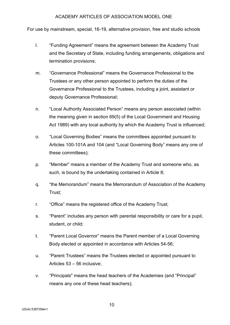- l. "Funding Agreement" means the agreement between the Academy Trust and the Secretary of State, including funding arrangements, obligations and termination provisions;
- m. "Governance Professional" means the Governance Professional to the Trustees or any other person appointed to perform the duties of the Governance Professional to the Trustees, including a joint, assistant or deputy Governance Professional;
- n. "Local Authority Associated Person" means any person associated (within the meaning given in section 69(5) of the Local Government and Housing Act 1989) with any local authority by which the Academy Trust is influenced;
- o. "Local Governing Bodies" means the committees appointed pursuant to Articles 100-101A and 104 (and "Local Governing Body" means any one of these committees);
- p. "Member" means a member of the Academy Trust and someone who, as such, is bound by the undertaking contained in Article 8;
- q. "the Memorandum" means the Memorandum of Association of the Academy Trust;
- r. "Office" means the registered office of the Academy Trust;
- s. "Parent" includes any person with parental responsibility or care for a pupil, student, or child;
- t. "Parent Local Governor" means the Parent member of a Local Governing Body elected or appointed in accordance with Articles 54-56;
- u. "Parent Trustees" means the Trustees elected or appointed pursuant to Articles 53 – 56 inclusive;
- v. "Principals" means the head teachers of the Academies (and "Principal" means any one of these head teachers);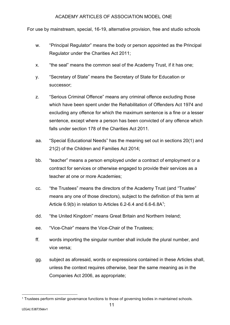- w. "Principal Regulator" means the body or person appointed as the Principal Regulator under the Charities Act 2011;
- x. "the seal" means the common seal of the Academy Trust, if it has one;
- y. "Secretary of State" means the Secretary of State for Education or successor;
- z. "Serious Criminal Offence" means any criminal offence excluding those which have been spent under the Rehabilitation of Offenders Act 1974 and excluding any offence for which the maximum sentence is a fine or a lesser sentence, except where a person has been convicted of any offence which falls under section 178 of the Charities Act 2011.
- aa. "Special Educational Needs" has the meaning set out in sections 20(1) and 21(2) of the Children and Families Act 2014;
- bb. "teacher" means a person employed under a contract of employment or a contract for services or otherwise engaged to provide their services as a teacher at one or more Academies;
- cc. "the Trustees" means the directors of the Academy Trust (and "Trustee" means any one of those directors), subject to the definition of this term at Article  $6.9(b)$  in relation to Articles  $6.2-6.4$  and  $6.6-6.8A<sup>1</sup>$ ;
- dd. "the United Kingdom" means Great Britain and Northern Ireland;
- ee. "Vice-Chair" means the Vice-Chair of the Trustees;
- ff. words importing the singular number shall include the plural number, and vice versa;
- gg. subject as aforesaid, words or expressions contained in these Articles shall, unless the context requires otherwise, bear the same meaning as in the Companies Act 2006, as appropriate;

<sup>&</sup>lt;sup>1</sup> Trustees perform similar governance functions to those of governing bodies in maintained schools.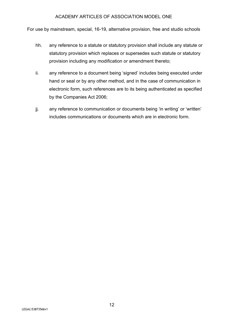- hh. any reference to a statute or statutory provision shall include any statute or statutory provision which replaces or supersedes such statute or statutory provision including any modification or amendment thereto;
- ii. any reference to a document being 'signed' includes being executed under hand or seal or by any other method, and in the case of communication in electronic form, such references are to its being authenticated as specified by the Companies Act 2006;
- jj. any reference to communication or documents being 'in writing' or 'written' includes communications or documents which are in electronic form.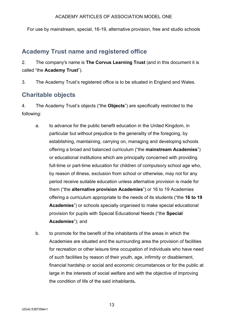For use by mainstream, special, 16-19, alternative provision, free and studio schools

# **Academy Trust name and registered office**

2. The company's name is **The Corvus Learning Trust** (and in this document it is called "the **Academy Trust**").

3. The Academy Trust's registered office is to be situated in England and Wales.

# **Charitable objects**

4. The Academy Trust's objects ("the **Objects**") are specifically restricted to the following:

- a. to advance for the public benefit education in the United Kingdom, in particular but without prejudice to the generality of the foregoing, by establishing, maintaining, carrying on, managing and developing schools offering a broad and balanced curriculum ("the **mainstream Academies**") or educational institutions which are principally concerned with providing full-time or part-time education for children of compulsory school age who, by reason of illness, exclusion from school or otherwise, may not for any period receive suitable education unless alternative provision is made for them ("the **alternative provision Academies**") or 16 to 19 Academies offering a curriculum appropriate to the needs of its students ("the **16 to 19 Academies**") or schools specially organised to make special educational provision for pupils with Special Educational Needs ("the **Special Academies**"); and
- b. to promote for the benefit of the inhabitants of the areas in which the Academies are situated and the surrounding area the provision of facilities for recreation or other leisure time occupation of individuals who have need of such facilities by reason of their youth, age, infirmity or disablement, financial hardship or social and economic circumstances or for the public at large in the interests of social welfare and with the objective of improving the condition of life of the said inhabitants*.*

13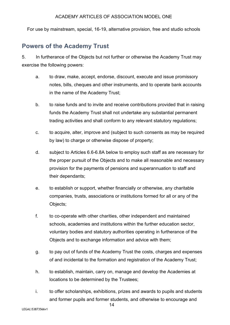For use by mainstream, special, 16-19, alternative provision, free and studio schools

## **Powers of the Academy Trust**

5. In furtherance of the Objects but not further or otherwise the Academy Trust may exercise the following powers:

- a. to draw, make, accept, endorse, discount, execute and issue promissory notes, bills, cheques and other instruments, and to operate bank accounts in the name of the Academy Trust;
- b. to raise funds and to invite and receive contributions provided that in raising funds the Academy Trust shall not undertake any substantial permanent trading activities and shall conform to any relevant statutory regulations;
- c. to acquire, alter, improve and (subject to such consents as may be required by law) to charge or otherwise dispose of property;
- d. subject to Articles 6.6-6.8A below to employ such staff as are necessary for the proper pursuit of the Objects and to make all reasonable and necessary provision for the payments of pensions and superannuation to staff and their dependants;
- e. to establish or support, whether financially or otherwise, any charitable companies, trusts, associations or institutions formed for all or any of the Objects;
- f. to co-operate with other charities, other independent and maintained schools, academies and institutions within the further education sector, voluntary bodies and statutory authorities operating in furtherance of the Objects and to exchange information and advice with them;
- g. to pay out of funds of the Academy Trust the costs, charges and expenses of and incidental to the formation and registration of the Academy Trust;
- h. to establish, maintain, carry on, manage and develop the Academies at locations to be determined by the Trustees;
- i. to offer scholarships, exhibitions, prizes and awards to pupils and students and former pupils and former students, and otherwise to encourage and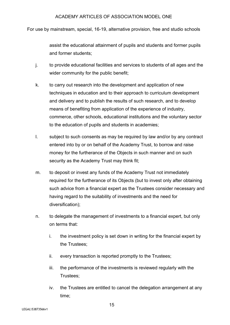For use by mainstream, special, 16-19, alternative provision, free and studio schools

assist the educational attainment of pupils and students and former pupils and former students;

- j. to provide educational facilities and services to students of all ages and the wider community for the public benefit;
- k. to carry out research into the development and application of new techniques in education and to their approach to curriculum development and delivery and to publish the results of such research, and to develop means of benefiting from application of the experience of industry, commerce, other schools, educational institutions and the voluntary sector to the education of pupils and students in academies;
- l. subject to such consents as may be required by law and/or by any contract entered into by or on behalf of the Academy Trust, to borrow and raise money for the furtherance of the Objects in such manner and on such security as the Academy Trust may think fit;
- m. to deposit or invest any funds of the Academy Trust not immediately required for the furtherance of its Objects (but to invest only after obtaining such advice from a financial expert as the Trustees consider necessary and having regard to the suitability of investments and the need for diversification);
- n. to delegate the management of investments to a financial expert, but only on terms that:
	- i. the investment policy is set down in writing for the financial expert by the Trustees;
	- ii. every transaction is reported promptly to the Trustees;
	- iii. the performance of the investments is reviewed regularly with the Trustees;
	- iv. the Trustees are entitled to cancel the delegation arrangement at any time;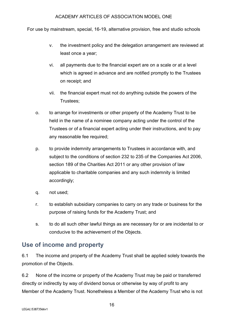For use by mainstream, special, 16-19, alternative provision, free and studio schools

- v. the investment policy and the delegation arrangement are reviewed at least once a year;
- vi. all payments due to the financial expert are on a scale or at a level which is agreed in advance and are notified promptly to the Trustees on receipt; and
- vii. the financial expert must not do anything outside the powers of the Trustees;
- o. to arrange for investments or other property of the Academy Trust to be held in the name of a nominee company acting under the control of the Trustees or of a financial expert acting under their instructions, and to pay any reasonable fee required;
- p. to provide indemnity arrangements to Trustees in accordance with, and subject to the conditions of section 232 to 235 of the Companies Act 2006, section 189 of the Charities Act 2011 or any other provision of law applicable to charitable companies and any such indemnity is limited accordingly;
- q. not used;
- r. to establish subsidiary companies to carry on any trade or business for the purpose of raising funds for the Academy Trust; and
- s. to do all such other lawful things as are necessary for or are incidental to or conducive to the achievement of the Objects.

# **Use of income and property**

6.1 The income and property of the Academy Trust shall be applied solely towards the promotion of the Objects.

6.2 None of the income or property of the Academy Trust may be paid or transferred directly or indirectly by way of dividend bonus or otherwise by way of profit to any Member of the Academy Trust. Nonetheless a Member of the Academy Trust who is not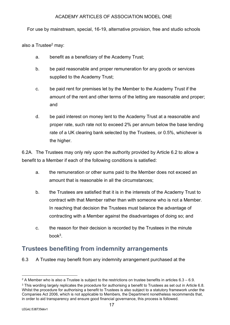For use by mainstream, special, 16-19, alternative provision, free and studio schools

also a Trustee<sup>2</sup> may:

- a. benefit as a beneficiary of the Academy Trust;
- b. be paid reasonable and proper remuneration for any goods or services supplied to the Academy Trust;
- c. be paid rent for premises let by the Member to the Academy Trust if the amount of the rent and other terms of the letting are reasonable and proper; and
- d. be paid interest on money lent to the Academy Trust at a reasonable and proper rate, such rate not to exceed 2% per annum below the base lending rate of a UK clearing bank selected by the Trustees, or 0.5%, whichever is the higher.

6.2A. The Trustees may only rely upon the authority provided by Article 6.2 to allow a benefit to a Member if each of the following conditions is satisfied:

- a. the remuneration or other sums paid to the Member does not exceed an amount that is reasonable in all the circumstances;
- b. the Trustees are satisfied that it is in the interests of the Academy Trust to contract with that Member rather than with someone who is not a Member. In reaching that decision the Trustees must balance the advantage of contracting with a Member against the disadvantages of doing so; and
- c. the reason for their decision is recorded by the Trustees in the minute book3.

# **Trustees benefiting from indemnity arrangements**

6.3 A Trustee may benefit from any indemnity arrangement purchased at the

<sup>&</sup>lt;sup>2</sup> A Member who is also a Trustee is subject to the restrictions on trustee benefits in articles  $6.3 - 6.9$ .

<sup>&</sup>lt;sup>3</sup> This wording largely replicates the procedure for authorising a benefit to Trustees as set out in Article 6.8. Whilst the procedure for authorising a benefit to Trustees is also subject to a statutory framework under the Companies Act 2006, which is not applicable to Members, the Department nonetheless recommends that, in order to aid transparency and ensure good financial governance, this process is followed.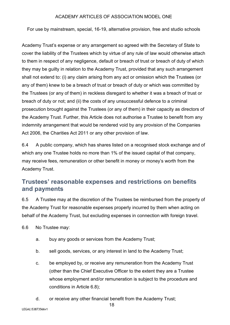For use by mainstream, special, 16-19, alternative provision, free and studio schools

Academy Trust's expense or any arrangement so agreed with the Secretary of State to cover the liability of the Trustees which by virtue of any rule of law would otherwise attach to them in respect of any negligence, default or breach of trust or breach of duty of which they may be guilty in relation to the Academy Trust, provided that any such arrangement shall not extend to: (i) any claim arising from any act or omission which the Trustees (or any of them) knew to be a breach of trust or breach of duty or which was committed by the Trustees (or any of them) in reckless disregard to whether it was a breach of trust or breach of duty or not; and (ii) the costs of any unsuccessful defence to a criminal prosecution brought against the Trustees (or any of them) in their capacity as directors of the Academy Trust. Further, this Article does not authorise a Trustee to benefit from any indemnity arrangement that would be rendered void by any provision of the Companies Act 2006, the Charities Act 2011 or any other provision of law.

6.4 A public company, which has shares listed on a recognised stock exchange and of which any one Trustee holds no more than 1% of the issued capital of that company, may receive fees, remuneration or other benefit in money or money's worth from the Academy Trust.

# **Trustees' reasonable expenses and restrictions on benefits and payments**

6.5 A Trustee may at the discretion of the Trustees be reimbursed from the property of the Academy Trust for reasonable expenses properly incurred by them when acting on behalf of the Academy Trust, but excluding expenses in connection with foreign travel.

6.6 No Trustee may:

- a. buy any goods or services from the Academy Trust;
- b. sell goods, services, or any interest in land to the Academy Trust;
- c. be employed by, or receive any remuneration from the Academy Trust (other than the Chief Executive Officer to the extent they are a Trustee whose employment and/or remuneration is subject to the procedure and conditions in Article 6.8);
- d. or receive any other financial benefit from the Academy Trust;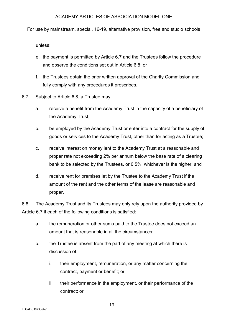For use by mainstream, special, 16-19, alternative provision, free and studio schools

unless:

- e. the payment is permitted by Article 6.7 and the Trustees follow the procedure and observe the conditions set out in Article 6.8; or
- f. the Trustees obtain the prior written approval of the Charity Commission and fully comply with any procedures it prescribes.
- 6.7 Subject to Article 6.8, a Trustee may:
	- a. receive a benefit from the Academy Trust in the capacity of a beneficiary of the Academy Trust;
	- b. be employed by the Academy Trust or enter into a contract for the supply of goods or services to the Academy Trust, other than for acting as a Trustee;
	- c. receive interest on money lent to the Academy Trust at a reasonable and proper rate not exceeding 2% per annum below the base rate of a clearing bank to be selected by the Trustees, or 0.5%, whichever is the higher; and
	- d. receive rent for premises let by the Trustee to the Academy Trust if the amount of the rent and the other terms of the lease are reasonable and proper.

6.8 The Academy Trust and its Trustees may only rely upon the authority provided by Article 6.7 if each of the following conditions is satisfied:

- a. the remuneration or other sums paid to the Trustee does not exceed an amount that is reasonable in all the circumstances;
- b. the Trustee is absent from the part of any meeting at which there is discussion of:
	- i. their employment, remuneration, or any matter concerning the contract, payment or benefit; or
	- ii. their performance in the employment, or their performance of the contract; or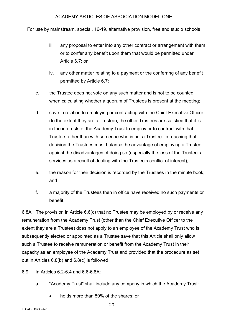For use by mainstream, special, 16-19, alternative provision, free and studio schools

- iii. any proposal to enter into any other contract or arrangement with them or to confer any benefit upon them that would be permitted under Article 6.7; or
- iv. any other matter relating to a payment or the conferring of any benefit permitted by Article 6.7;
- c. the Trustee does not vote on any such matter and is not to be counted when calculating whether a quorum of Trustees is present at the meeting;
- d. save in relation to employing or contracting with the Chief Executive Officer (to the extent they are a Trustee), the other Trustees are satisfied that it is in the interests of the Academy Trust to employ or to contract with that Trustee rather than with someone who is not a Trustee. In reaching that decision the Trustees must balance the advantage of employing a Trustee against the disadvantages of doing so (especially the loss of the Trustee's services as a result of dealing with the Trustee's conflict of interest);
- e. the reason for their decision is recorded by the Trustees in the minute book; and
- f. a majority of the Trustees then in office have received no such payments or benefit.

6.8A The provision in Article 6.6(c) that no Trustee may be employed by or receive any remuneration from the Academy Trust (other than the Chief Executive Officer to the extent they are a Trustee) does not apply to an employee of the Academy Trust who is subsequently elected or appointed as a Trustee save that this Article shall only allow such a Trustee to receive remuneration or benefit from the Academy Trust in their capacity as an employee of the Academy Trust and provided that the procedure as set out in Articles 6.8(b) and 6.8(c) is followed.

- 6.9 In Articles 6.2-6.4 and 6.6-6.8A:
	- a. "Academy Trust" shall include any company in which the Academy Trust:
		- holds more than 50% of the shares; or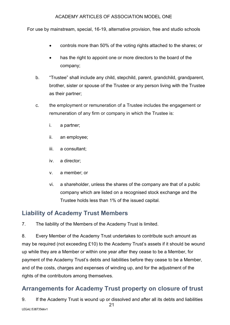For use by mainstream, special, 16-19, alternative provision, free and studio schools

- controls more than 50% of the voting rights attached to the shares; or
- has the right to appoint one or more directors to the board of the company;
- b. "Trustee" shall include any child, stepchild, parent, grandchild, grandparent, brother, sister or spouse of the Trustee or any person living with the Trustee as their partner;
- c. the employment or remuneration of a Trustee includes the engagement or remuneration of any firm or company in which the Trustee is:
	- i. a partner;
	- ii. an employee;
	- iii. a consultant;
	- iv. a director;
	- v. a member; or
	- vi. a shareholder, unless the shares of the company are that of a public company which are listed on a recognised stock exchange and the Trustee holds less than 1% of the issued capital.

# **Liability of Academy Trust Members**

7. The liability of the Members of the Academy Trust is limited.

8. Every Member of the Academy Trust undertakes to contribute such amount as may be required (not exceeding £10) to the Academy Trust's assets if it should be wound up while they are a Member or within one year after they cease to be a Member, for payment of the Academy Trust's debts and liabilities before they cease to be a Member, and of the costs, charges and expenses of winding up, and for the adjustment of the rights of the contributors among themselves.

# **Arrangements for Academy Trust property on closure of trust**

9. If the Academy Trust is wound up or dissolved and after all its debts and liabilities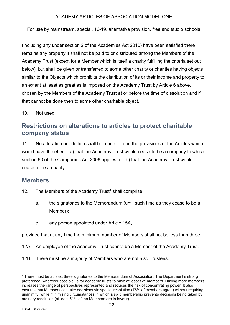For use by mainstream, special, 16-19, alternative provision, free and studio schools

(including any under section 2 of the Academies Act 2010) have been satisfied there remains any property it shall not be paid to or distributed among the Members of the Academy Trust (except for a Member which is itself a charity fulfilling the criteria set out below), but shall be given or transferred to some other charity or charities having objects similar to the Objects which prohibits the distribution of its or their income and property to an extent at least as great as is imposed on the Academy Trust by Article 6 above, chosen by the Members of the Academy Trust at or before the time of dissolution and if that cannot be done then to some other charitable object.

10. Not used.

# **Restrictions on alterations to articles to protect charitable company status**

11. No alteration or addition shall be made to or in the provisions of the Articles which would have the effect: (a) that the Academy Trust would cease to be a company to which section 60 of the Companies Act 2006 applies; or (b) that the Academy Trust would cease to be a charity.

## **Members**

- 12. The Members of the Academy Trust<sup>4</sup> shall comprise:
	- a. the signatories to the Memorandum (until such time as they cease to be a Member);
	- c. any person appointed under Article 15A,

provided that at any time the minimum number of Members shall not be less than three.

12A. An employee of the Academy Trust cannot be a Member of the Academy Trust.

12B. There must be a majority of Members who are not also Trustees.

<sup>4</sup> There must be at least three signatories to the Memorandum of Association. The Department's strong preference, wherever possible, is for academy trusts to have at least five members. Having more members increases the range of perspectives represented and reduces the risk of concentrating power. It also ensures that Members can take decisions via special resolution (75% of members agree) without requiring unanimity, while minimising circumstances in which a split membership prevents decisions being taken by ordinary resolution (at least 51% of the Members are in favour).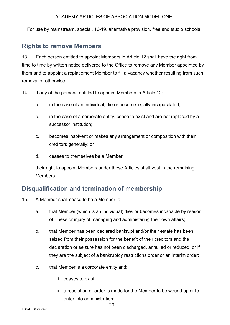For use by mainstream, special, 16-19, alternative provision, free and studio schools

## **Rights to remove Members**

13. Each person entitled to appoint Members in Article 12 shall have the right from time to time by written notice delivered to the Office to remove any Member appointed by them and to appoint a replacement Member to fill a vacancy whether resulting from such removal or otherwise.

14. If any of the persons entitled to appoint Members in Article 12:

- a. in the case of an individual, die or become legally incapacitated;
- b. in the case of a corporate entity, cease to exist and are not replaced by a successor institution;
- c. becomes insolvent or makes any arrangement or composition with their creditors generally; or
- d. ceases to themselves be a Member,

their right to appoint Members under these Articles shall vest in the remaining **Members** 

## **Disqualification and termination of membership**

- 15. A Member shall cease to be a Member if:
	- a. that Member (which is an individual) dies or becomes incapable by reason of illness or injury of managing and administering their own affairs;
	- b. that Member has been declared bankrupt and/or their estate has been seized from their possession for the benefit of their creditors and the declaration or seizure has not been discharged, annulled or reduced, or if they are the subject of a bankruptcy restrictions order or an interim order;
	- c. that Member is a corporate entity and:
		- i. ceases to exist;
		- ii. a resolution or order is made for the Member to be wound up or to enter into administration;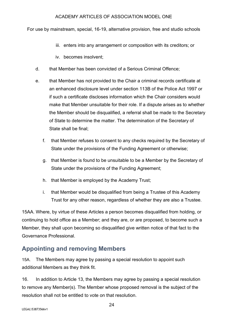For use by mainstream, special, 16-19, alternative provision, free and studio schools

- iii. enters into any arrangement or composition with its creditors; or
- iv. becomes insolvent;
- d. that Member has been convicted of a Serious Criminal Offence;
- e. that Member has not provided to the Chair a criminal records certificate at an enhanced disclosure level under section 113B of the Police Act 1997 or if such a certificate discloses information which the Chair considers would make that Member unsuitable for their role. If a dispute arises as to whether the Member should be disqualified, a referral shall be made to the Secretary of State to determine the matter. The determination of the Secretary of State shall be final;
	- f. that Member refuses to consent to any checks required by the Secretary of State under the provisions of the Funding Agreement or otherwise;
	- g. that Member is found to be unsuitable to be a Member by the Secretary of State under the provisions of the Funding Agreement;
	- h. that Member is employed by the Academy Trust;
	- i. that Member would be disqualified from being a Trustee of this Academy Trust for any other reason, regardless of whether they are also a Trustee.

15AA. Where, by virtue of these Articles a person becomes disqualified from holding, or continuing to hold office as a Member; and they are, or are proposed, to become such a Member, they shall upon becoming so disqualified give written notice of that fact to the Governance Professional.

# **Appointing and removing Members**

15A. The Members may agree by passing a special resolution to appoint such additional Members as they think fit.

16. In addition to Article 13, the Members may agree by passing a special resolution to remove any Member(s). The Member whose proposed removal is the subject of the resolution shall not be entitled to vote on that resolution.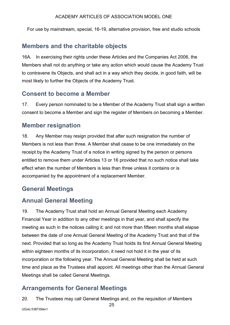For use by mainstream, special, 16-19, alternative provision, free and studio schools

## **Members and the charitable objects**

16A. In exercising their rights under these Articles and the Companies Act 2006, the Members shall not do anything or take any action which would cause the Academy Trust to contravene its Objects, and shall act in a way which they decide, in good faith, will be most likely to further the Objects of the Academy Trust.

## **Consent to become a Member**

17. Every person nominated to be a Member of the Academy Trust shall sign a written consent to become a Member and sign the register of Members on becoming a Member.

## **Member resignation**

18. Any Member may resign provided that after such resignation the number of Members is not less than three. A Member shall cease to be one immediately on the receipt by the Academy Trust of a notice in writing signed by the person or persons entitled to remove them under Articles 13 or 16 provided that no such notice shall take effect when the number of Members is less than three unless it contains or is accompanied by the appointment of a replacement Member.

## **General Meetings**

## **Annual General Meeting**

19. The Academy Trust shall hold an Annual General Meeting each Academy Financial Year in addition to any other meetings in that year, and shall specify the meeting as such in the notices calling it; and not more than fifteen months shall elapse between the date of one Annual General Meeting of the Academy Trust and that of the next. Provided that so long as the Academy Trust holds its first Annual General Meeting within eighteen months of its incorporation, it need not hold it in the year of its incorporation or the following year. The Annual General Meeting shall be held at such time and place as the Trustees shall appoint. All meetings other than the Annual General Meetings shall be called General Meetings.

# **Arrangements for General Meetings**

20. The Trustees may call General Meetings and, on the requisition of Members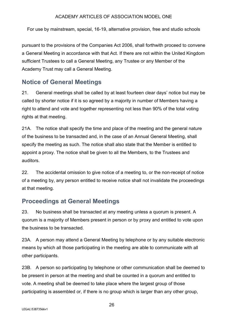For use by mainstream, special, 16-19, alternative provision, free and studio schools

pursuant to the provisions of the Companies Act 2006, shall forthwith proceed to convene a General Meeting in accordance with that Act. If there are not within the United Kingdom sufficient Trustees to call a General Meeting, any Trustee or any Member of the Academy Trust may call a General Meeting.

# **Notice of General Meetings**

21. General meetings shall be called by at least fourteen clear days' notice but may be called by shorter notice if it is so agreed by a majority in number of Members having a right to attend and vote and together representing not less than 90% of the total voting rights at that meeting.

21A. The notice shall specify the time and place of the meeting and the general nature of the business to be transacted and, in the case of an Annual General Meeting, shall specify the meeting as such. The notice shall also state that the Member is entitled to appoint a proxy. The notice shall be given to all the Members, to the Trustees and auditors.

22. The accidental omission to give notice of a meeting to, or the non-receipt of notice of a meeting by, any person entitled to receive notice shall not invalidate the proceedings at that meeting.

# **Proceedings at General Meetings**

23. No business shall be transacted at any meeting unless a quorum is present. A quorum is a majority of Members present in person or by proxy and entitled to vote upon the business to be transacted.

23A. A person may attend a General Meeting by telephone or by any suitable electronic means by which all those participating in the meeting are able to communicate with all other participants.

23B. A person so participating by telephone or other communication shall be deemed to be present in person at the meeting and shall be counted in a quorum and entitled to vote. A meeting shall be deemed to take place where the largest group of those participating is assembled or, if there is no group which is larger than any other group,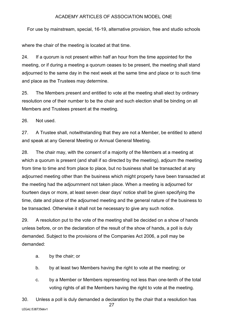For use by mainstream, special, 16-19, alternative provision, free and studio schools

where the chair of the meeting is located at that time.

24. If a quorum is not present within half an hour from the time appointed for the meeting, or if during a meeting a quorum ceases to be present, the meeting shall stand adjourned to the same day in the next week at the same time and place or to such time and place as the Trustees may determine.

25. The Members present and entitled to vote at the meeting shall elect by ordinary resolution one of their number to be the chair and such election shall be binding on all Members and Trustees present at the meeting.

26. Not used.

27. A Trustee shall, notwithstanding that they are not a Member, be entitled to attend and speak at any General Meeting or Annual General Meeting.

28. The chair may, with the consent of a majority of the Members at a meeting at which a quorum is present (and shall if so directed by the meeting), adjourn the meeting from time to time and from place to place, but no business shall be transacted at any adjourned meeting other than the business which might properly have been transacted at the meeting had the adjournment not taken place. When a meeting is adjourned for fourteen days or more, at least seven clear days' notice shall be given specifying the time, date and place of the adjourned meeting and the general nature of the business to be transacted. Otherwise it shall not be necessary to give any such notice.

29. A resolution put to the vote of the meeting shall be decided on a show of hands unless before, or on the declaration of the result of the show of hands, a poll is duly demanded. Subject to the provisions of the Companies Act 2006, a poll may be demanded:

- a. by the chair; or
- b. by at least two Members having the right to vote at the meeting; or
- c. by a Member or Members representing not less than one-tenth of the total voting rights of all the Members having the right to vote at the meeting.

27 LEGAL\53873566v1 30. Unless a poll is duly demanded a declaration by the chair that a resolution has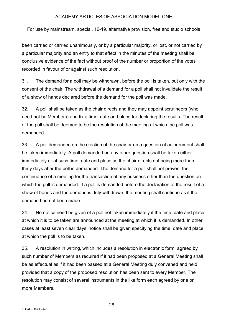For use by mainstream, special, 16-19, alternative provision, free and studio schools

been carried or carried unanimously, or by a particular majority, or lost, or not carried by a particular majority and an entry to that effect in the minutes of the meeting shall be conclusive evidence of the fact without proof of the number or proportion of the votes recorded in favour of or against such resolution.

31. The demand for a poll may be withdrawn, before the poll is taken, but only with the consent of the chair. The withdrawal of a demand for a poll shall not invalidate the result of a show of hands declared before the demand for the poll was made.

32. A poll shall be taken as the chair directs and they may appoint scrutineers (who need not be Members) and fix a time, date and place for declaring the results. The result of the poll shall be deemed to be the resolution of the meeting at which the poll was demanded.

33. A poll demanded on the election of the chair or on a question of adjournment shall be taken immediately. A poll demanded on any other question shall be taken either immediately or at such time, date and place as the chair directs not being more than thirty days after the poll is demanded. The demand for a poll shall not prevent the continuance of a meeting for the transaction of any business other than the question on which the poll is demanded. If a poll is demanded before the declaration of the result of a show of hands and the demand is duly withdrawn, the meeting shall continue as if the demand had not been made.

34. No notice need be given of a poll not taken immediately if the time, date and place at which it is to be taken are announced at the meeting at which it is demanded. In other cases at least seven clear days' notice shall be given specifying the time, date and place at which the poll is to be taken.

35. A resolution in writing, which includes a resolution in electronic form, agreed by such number of Members as required if it had been proposed at a General Meeting shall be as effectual as if it had been passed at a General Meeting duly convened and held provided that a copy of the proposed resolution has been sent to every Member. The resolution may consist of several instruments in the like form each agreed by one or more Members.

28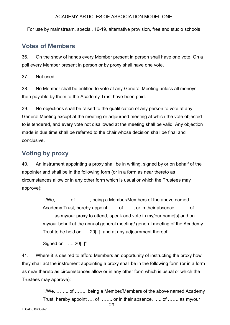For use by mainstream, special, 16-19, alternative provision, free and studio schools

## **Votes of Members**

36. On the show of hands every Member present in person shall have one vote. On a poll every Member present in person or by proxy shall have one vote.

37. Not used.

38. No Member shall be entitled to vote at any General Meeting unless all moneys then payable by them to the Academy Trust have been paid.

39. No objections shall be raised to the qualification of any person to vote at any General Meeting except at the meeting or adjourned meeting at which the vote objected to is tendered, and every vote not disallowed at the meeting shall be valid. Any objection made in due time shall be referred to the chair whose decision shall be final and conclusive.

## **Voting by proxy**

40. An instrument appointing a proxy shall be in writing, signed by or on behalf of the appointer and shall be in the following form (or in a form as near thereto as circumstances allow or in any other form which is usual or which the Trustees may approve):

> "I/We, …….., of ………, being a Member/Members of the above named Academy Trust, hereby appoint …… of ……, or in their absence, …….. of ....... as my/our proxy to attend, speak and vote in my/our name[s] and on my/our behalf at the annual general meeting/ general meeting of the Academy Trust to be held on …..20[ ], and at any adjournment thereof.

Signed on ..... 20[ 1"

41. Where it is desired to afford Members an opportunity of instructing the proxy how they shall act the instrument appointing a proxy shall be in the following form (or in a form as near thereto as circumstances allow or in any other form which is usual or which the Trustees may approve):

> "I/We, ……., of ……., being a Member/Members of the above named Academy Trust, hereby appoint …. of ……., or in their absence, ….. of ……, as my/our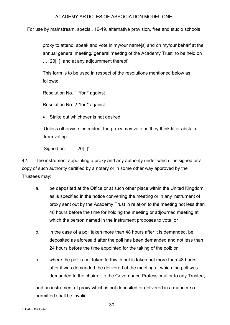For use by mainstream, special, 16-19, alternative provision, free and studio schools

proxy to attend, speak and vote in my/our name[s] and on my/our behalf at the annual general meeting/ general meeting of the Academy Trust, to be held on .... 20 [], and at any adjournment thereof.

This form is to be used in respect of the resolutions mentioned below as follows:

Resolution No. 1 \*for \* against

Resolution No. 2 \*for \* against.

Strike out whichever is not desired.

Unless otherwise instructed, the proxy may vote as they think fit or abstain from voting.

Signed on 20[ ]"

42. The instrument appointing a proxy and any authority under which it is signed or a copy of such authority certified by a notary or in some other way approved by the Trustees may:

- a. be deposited at the Office or at such other place within the United Kingdom as is specified in the notice convening the meeting or in any instrument of proxy sent out by the Academy Trust in relation to the meeting not less than 48 hours before the time for holding the meeting or adjourned meeting at which the person named in the instrument proposes to vote; or
- b. in the case of a poll taken more than 48 hours after it is demanded, be deposited as aforesaid after the poll has been demanded and not less than 24 hours before the time appointed for the taking of the poll; or
- c. where the poll is not taken forthwith but is taken not more than 48 hours after it was demanded, be delivered at the meeting at which the poll was demanded to the chair or to the Governance Professional or to any Trustee,

and an instrument of proxy which is not deposited or delivered in a manner so permitted shall be invalid.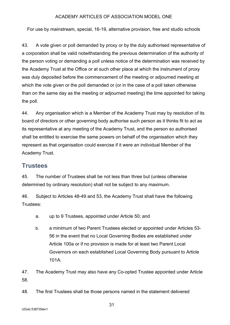For use by mainstream, special, 16-19, alternative provision, free and studio schools

43. A vote given or poll demanded by proxy or by the duly authorised representative of a corporation shall be valid notwithstanding the previous determination of the authority of the person voting or demanding a poll unless notice of the determination was received by the Academy Trust at the Office or at such other place at which the instrument of proxy was duly deposited before the commencement of the meeting or adjourned meeting at which the vote given or the poll demanded or (or in the case of a poll taken otherwise than on the same day as the meeting or adjourned meeting) the time appointed for taking the poll.

44. Any organisation which is a Member of the Academy Trust may by resolution of its board of directors or other governing body authorise such person as it thinks fit to act as its representative at any meeting of the Academy Trust, and the person so authorised shall be entitled to exercise the same powers on behalf of the organisation which they represent as that organisation could exercise if it were an individual Member of the Academy Trust.

## **Trustees**

45. The number of Trustees shall be not less than three but (unless otherwise determined by ordinary resolution) shall not be subject to any maximum.

46. Subject to Articles 48-49 and 53, the Academy Trust shall have the following Trustees:

- a. up to 9 Trustees, appointed under Article 50; and
- b. a minimum of two Parent Trustees elected or appointed under Articles 53- 56 in the event that no Local Governing Bodies are established under Article 100a or if no provision is made for at least two Parent Local Governors on each established Local Governing Body pursuant to Article 101A.

47. The Academy Trust may also have any Co-opted Trustee appointed under Article 58.

48. The first Trustees shall be those persons named in the statement delivered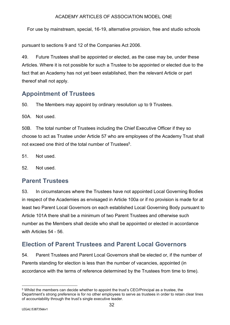For use by mainstream, special, 16-19, alternative provision, free and studio schools

pursuant to sections 9 and 12 of the Companies Act 2006.

49. Future Trustees shall be appointed or elected, as the case may be, under these Articles. Where it is not possible for such a Trustee to be appointed or elected due to the fact that an Academy has not yet been established, then the relevant Article or part thereof shall not apply.

# **Appointment of Trustees**

50. The Members may appoint by ordinary resolution up to 9 Trustees.

50A. Not used.

50B. The total number of Trustees including the Chief Executive Officer if they so choose to act as Trustee under Article 57 who are employees of the Academy Trust shall not exceed one third of the total number of Trustees<sup>5</sup>.

51. Not used.

52. Not used.

# **Parent Trustees**

53. In circumstances where the Trustees have not appointed Local Governing Bodies in respect of the Academies as envisaged in Article 100a or if no provision is made for at least two Parent Local Governors on each established Local Governing Body pursuant to Article 101A there shall be a minimum of two Parent Trustees and otherwise such number as the Members shall decide who shall be appointed or elected in accordance with Articles 54 - 56.

# **Election of Parent Trustees and Parent Local Governors**

54. Parent Trustees and Parent Local Governors shall be elected or, if the number of Parents standing for election is less than the number of vacancies, appointed (in accordance with the terms of reference determined by the Trustees from time to time).

<sup>5</sup> Whilst the members can decide whether to appoint the trust's CEO/Principal as a trustee, the Department's strong preference is for no other employees to serve as trustees in order to retain clear lines of accountability through the trust's single executive leader.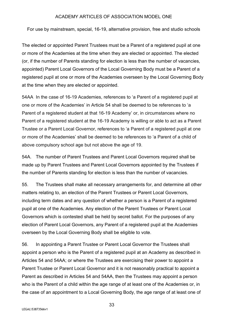For use by mainstream, special, 16-19, alternative provision, free and studio schools

The elected or appointed Parent Trustees must be a Parent of a registered pupil at one or more of the Academies at the time when they are elected or appointed. The elected (or, if the number of Parents standing for election is less than the number of vacancies, appointed) Parent Local Governors of the Local Governing Body must be a Parent of a registered pupil at one or more of the Academies overseen by the Local Governing Body at the time when they are elected or appointed.

54AA In the case of 16-19 Academies, references to 'a Parent of a registered pupil at one or more of the Academies' in Article 54 shall be deemed to be references to 'a Parent of a registered student at that 16-19 Academy' or, in circumstances where no Parent of a registered student at the 16-19 Academy is willing or able to act as a Parent Trustee or a Parent Local Governor, references to 'a Parent of a registered pupil at one or more of the Academies' shall be deemed to be references to 'a Parent of a child of above compulsory school age but not above the age of 19.

54A. The number of Parent Trustees and Parent Local Governors required shall be made up by Parent Trustees and Parent Local Governors appointed by the Trustees if the number of Parents standing for election is less than the number of vacancies.

55. The Trustees shall make all necessary arrangements for, and determine all other matters relating to, an election of the Parent Trustees or Parent Local Governors, including term dates and any question of whether a person is a Parent of a registered pupil at one of the Academies. Any election of the Parent Trustees or Parent Local Governors which is contested shall be held by secret ballot. For the purposes of any election of Parent Local Governors, any Parent of a registered pupil at the Academies overseen by the Local Governing Body shall be eligible to vote.

56. In appointing a Parent Trustee or Parent Local Governor the Trustees shall appoint a person who is the Parent of a registered pupil at an Academy as described in Articles 54 and 54AA; or where the Trustees are exercising their power to appoint a Parent Trustee or Parent Local Governor and it is not reasonably practical to appoint a Parent as described in Articles 54 and 54AA, then the Trustees may appoint a person who is the Parent of a child within the age range of at least one of the Academies or, in the case of an appointment to a Local Governing Body, the age range of at least one of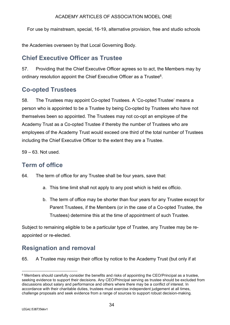For use by mainstream, special, 16-19, alternative provision, free and studio schools

the Academies overseen by that Local Governing Body.

# **Chief Executive Officer as Trustee**

57. Providing that the Chief Executive Officer agrees so to act, the Members may by ordinary resolution appoint the Chief Executive Officer as a Trustee<sup>6</sup>.

# **Co-opted Trustees**

58. The Trustees may appoint Co-opted Trustees. A 'Co-opted Trustee' means a person who is appointed to be a Trustee by being Co-opted by Trustees who have not themselves been so appointed. The Trustees may not co-opt an employee of the Academy Trust as a Co-opted Trustee if thereby the number of Trustees who are employees of the Academy Trust would exceed one third of the total number of Trustees including the Chief Executive Officer to the extent they are a Trustee.

 $59 - 63$  Not used.

# **Term of office**

64. The term of office for any Trustee shall be four years, save that:

- a. This time limit shall not apply to any post which is held ex officio.
- b. The term of office may be shorter than four years for any Trustee except for Parent Trustees, if the Members (or in the case of a Co-opted Trustee, the Trustees) determine this at the time of appointment of such Trustee.

Subject to remaining eligible to be a particular type of Trustee, any Trustee may be reappointed or re-elected.

# **Resignation and removal**

65. A Trustee may resign their office by notice to the Academy Trust (but only if at

 $6$  Members should carefully consider the benefits and risks of appointing the CEO/Principal as a trustee. seeking evidence to support their decisions. Any CEO/Principal serving as trustee should be excluded from discussions about salary and performance and others where there may be a conflict of interest. In accordance with their charitable duties, trustees must exercise independent judgement at all times, challenge proposals and seek evidence from a range of sources to support robust decision-making.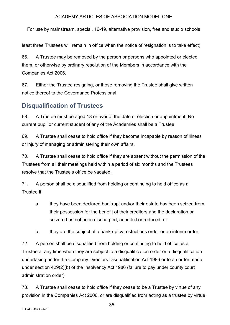For use by mainstream, special, 16-19, alternative provision, free and studio schools

least three Trustees will remain in office when the notice of resignation is to take effect).

66. A Trustee may be removed by the person or persons who appointed or elected them, or otherwise by ordinary resolution of the Members in accordance with the Companies Act 2006.

67. Either the Trustee resigning, or those removing the Trustee shall give written notice thereof to the Governance Professional.

# **Disqualification of Trustees**

68. A Trustee must be aged 18 or over at the date of election or appointment. No current pupil or current student of any of the Academies shall be a Trustee.

69. A Trustee shall cease to hold office if they become incapable by reason of illness or injury of managing or administering their own affairs.

70. A Trustee shall cease to hold office if they are absent without the permission of the Trustees from all their meetings held within a period of six months and the Trustees resolve that the Trustee's office be vacated.

71. A person shall be disqualified from holding or continuing to hold office as a Trustee if:

- a. they have been declared bankrupt and/or their estate has been seized from their possession for the benefit of their creditors and the declaration or seizure has not been discharged, annulled or reduced; or
- b. they are the subject of a bankruptcy restrictions order or an interim order.

72. A person shall be disqualified from holding or continuing to hold office as a Trustee at any time when they are subject to a disqualification order or a disqualification undertaking under the Company Directors Disqualification Act 1986 or to an order made under section 429(2)(b) of the Insolvency Act 1986 (failure to pay under county court administration order).

73. A Trustee shall cease to hold office if they cease to be a Trustee by virtue of any provision in the Companies Act 2006, or are disqualified from acting as a trustee by virtue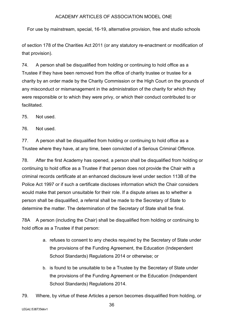For use by mainstream, special, 16-19, alternative provision, free and studio schools

of section 178 of the Charities Act 2011 (or any statutory re-enactment or modification of that provision).

74. A person shall be disqualified from holding or continuing to hold office as a Trustee if they have been removed from the office of charity trustee or trustee for a charity by an order made by the Charity Commission or the High Court on the grounds of any misconduct or mismanagement in the administration of the charity for which they were responsible or to which they were privy, or which their conduct contributed to or facilitated.

75. Not used.

76. Not used.

77. A person shall be disqualified from holding or continuing to hold office as a Trustee where they have, at any time, been convicted of a Serious Criminal Offence.

78. After the first Academy has opened, a person shall be disqualified from holding or continuing to hold office as a Trustee if that person does not provide the Chair with a criminal records certificate at an enhanced disclosure level under section 113B of the Police Act 1997 or if such a certificate discloses information which the Chair considers would make that person unsuitable for their role. If a dispute arises as to whether a person shall be disqualified, a referral shall be made to the Secretary of State to determine the matter. The determination of the Secretary of State shall be final.

78A A person (including the Chair) shall be disqualified from holding or continuing to hold office as a Trustee if that person:

- a. refuses to consent to any checks required by the Secretary of State under the provisions of the Funding Agreement, the Education (Independent School Standards) Regulations 2014 or otherwise; or
- b. is found to be unsuitable to be a Trustee by the Secretary of State under the provisions of the Funding Agreement or the Education (Independent School Standards) Regulations 2014.
- 79. Where, by virtue of these Articles a person becomes disqualified from holding, or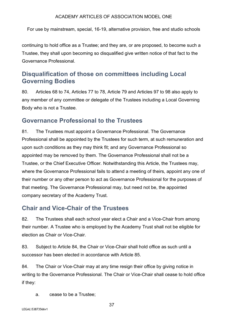For use by mainstream, special, 16-19, alternative provision, free and studio schools

continuing to hold office as a Trustee; and they are, or are proposed, to become such a Trustee, they shall upon becoming so disqualified give written notice of that fact to the Governance Professional.

# **Disqualification of those on committees including Local Governing Bodies**

80. Articles 68 to 74, Articles 77 to 78, Article 79 and Articles 97 to 98 also apply to any member of any committee or delegate of the Trustees including a Local Governing Body who is not a Trustee.

## **Governance Professional to the Trustees**

81. The Trustees must appoint a Governance Professional. The Governance Professional shall be appointed by the Trustees for such term, at such remuneration and upon such conditions as they may think fit; and any Governance Professional so appointed may be removed by them. The Governance Professional shall not be a Trustee, or the Chief Executive Officer*.* Notwithstanding this Article, the Trustees may, where the Governance Professional fails to attend a meeting of theirs, appoint any one of their number or any other person to act as Governance Professional for the purposes of that meeting. The Governance Professional may, but need not be, the appointed company secretary of the Academy Trust.

# **Chair and Vice-Chair of the Trustees**

82. The Trustees shall each school year elect a Chair and a Vice-Chair from among their number. A Trustee who is employed by the Academy Trust shall not be eligible for election as Chair or Vice-Chair.

83. Subject to Article 84, the Chair or Vice-Chair shall hold office as such until a successor has been elected in accordance with Article 85.

84. The Chair or Vice-Chair may at any time resign their office by giving notice in writing to the Governance Professional. The Chair or Vice-Chair shall cease to hold office if they:

a. cease to be a Trustee;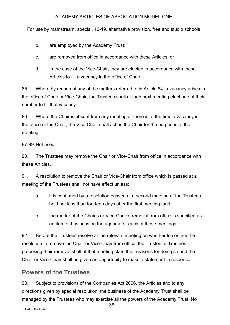For use by mainstream, special, 16-19, alternative provision, free and studio schools

- b. are employed by the Academy Trust;
- c. are removed from office in accordance with these Articles; or
- d. in the case of the Vice-Chair, they are elected in accordance with these Articles to fill a vacancy in the office of Chair.

85. Where by reason of any of the matters referred to in Article 84, a vacancy arises in the office of Chair or Vice-Chair, the Trustees shall at their next meeting elect one of their number to fill that vacancy.

86. Where the Chair is absent from any meeting or there is at the time a vacancy in the office of the Chair, the Vice-Chair shall act as the Chair for the purposes of the meeting.

87-89. Not used.

90. The Trustees may remove the Chair or Vice-Chair from office in accordance with these Articles.

91. A resolution to remove the Chair or Vice-Chair from office which is passed at a meeting of the Trustees shall not have effect unless:

- a. it is confirmed by a resolution passed at a second meeting of the Trustees held not less than fourteen days after the first meeting; and
- b. the matter of the Chair's or Vice-Chair's removal from office is specified as an item of business on the agenda for each of those meetings.

92. Before the Trustees resolve at the relevant meeting on whether to confirm the resolution to remove the Chair or Vice-Chair from office, the Trustee or Trustees proposing their removal shall at that meeting state their reasons for doing so and the Chair or Vice-Chair shall be given an opportunity to make a statement in response.

# **Powers of the Trustees**

93. Subject to provisions of the Companies Act 2006, the Articles and to any directions given by special resolution, the business of the Academy Trust shall be managed by the Trustees who may exercise all the powers of the Academy Trust. No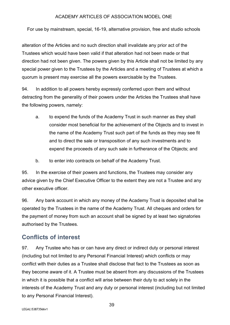For use by mainstream, special, 16-19, alternative provision, free and studio schools

alteration of the Articles and no such direction shall invalidate any prior act of the Trustees which would have been valid if that alteration had not been made or that direction had not been given. The powers given by this Article shall not be limited by any special power given to the Trustees by the Articles and a meeting of Trustees at which a quorum is present may exercise all the powers exercisable by the Trustees.

94. In addition to all powers hereby expressly conferred upon them and without detracting from the generality of their powers under the Articles the Trustees shall have the following powers, namely:

- a. to expend the funds of the Academy Trust in such manner as they shall consider most beneficial for the achievement of the Objects and to invest in the name of the Academy Trust such part of the funds as they may see fit and to direct the sale or transposition of any such investments and to expend the proceeds of any such sale in furtherance of the Objects; and
- b. to enter into contracts on behalf of the Academy Trust.

95. In the exercise of their powers and functions, the Trustees may consider any advice given by the Chief Executive Officer to the extent they are not a Trustee and any other executive officer.

96. Any bank account in which any money of the Academy Trust is deposited shall be operated by the Trustees in the name of the Academy Trust. All cheques and orders for the payment of money from such an account shall be signed by at least two signatories authorised by the Trustees.

# **Conflicts of interest**

97. Any Trustee who has or can have any direct or indirect duty or personal interest (including but not limited to any Personal Financial Interest) which conflicts or may conflict with their duties as a Trustee shall disclose that fact to the Trustees as soon as they become aware of it. A Trustee must be absent from any discussions of the Trustees in which it is possible that a conflict will arise between their duty to act solely in the interests of the Academy Trust and any duty or personal interest (including but not limited to any Personal Financial Interest).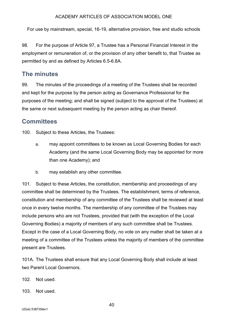For use by mainstream, special, 16-19, alternative provision, free and studio schools

98. For the purpose of Article 97, a Trustee has a Personal Financial Interest in the employment or remuneration of, or the provision of any other benefit to, that Trustee as permitted by and as defined by Articles 6.5-6.8A.

# **The minutes**

99. The minutes of the proceedings of a meeting of the Trustees shall be recorded and kept for the purpose by the person acting as Governance Professional for the purposes of the meeting; and shall be signed (subject to the approval of the Trustees) at the same or next subsequent meeting by the person acting as chair thereof.

# **Committees**

100. Subject to these Articles, the Trustees:

- a. may appoint committees to be known as Local Governing Bodies for each Academy (and the same Local Governing Body may be appointed for more than one Academy); and
- b. may establish any other committee.

101. Subject to these Articles, the constitution, membership and proceedings of any committee shall be determined by the Trustees. The establishment, terms of reference, constitution and membership of any committee of the Trustees shall be reviewed at least once in every twelve months. The membership of any committee of the Trustees may include persons who are not Trustees, provided that (with the exception of the Local Governing Bodies) a majority of members of any such committee shall be Trustees. Except in the case of a Local Governing Body, no vote on any matter shall be taken at a meeting of a committee of the Trustees unless the majority of members of the committee present are Trustees.

101A. The Trustees shall ensure that any Local Governing Body shall include at least two Parent Local Governors.

102. Not used.

103. Not used.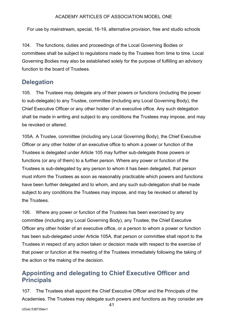For use by mainstream, special, 16-19, alternative provision, free and studio schools

104. The functions, duties and proceedings of the Local Governing Bodies or committees shall be subject to regulations made by the Trustees from time to time. Local Governing Bodies may also be established solely for the purpose of fulfilling an advisory function to the board of Trustees.

## **Delegation**

105. The Trustees may delegate any of their powers or functions (including the power to sub-delegate) to any Trustee, committee (including any Local Governing Body), the Chief Executive Officer or any other holder of an executive office. Any such delegation shall be made in writing and subject to any conditions the Trustees may impose, and may be revoked or altered.

105A. A Trustee, committee (including any Local Governing Body), the Chief Executive Officer or any other holder of an executive office to whom a power or function of the Trustees is delegated under Article 105 may further sub-delegate those powers or functions (or any of them) to a further person. Where any power or function of the Trustees is sub-delegated by any person to whom it has been delegated, that person must inform the Trustees as soon as reasonably practicable which powers and functions have been further delegated and to whom, and any such sub-delegation shall be made subject to any conditions the Trustees may impose, and may be revoked or altered by the Trustees.

106. Where any power or function of the Trustees has been exercised by any committee (including any Local Governing Body), any Trustee, the Chief Executive Officer any other holder of an executive office, or a person to whom a power or function has been sub-delegated under Article 105A, that person or committee shall report to the Trustees in respect of any action taken or decision made with respect to the exercise of that power or function at the meeting of the Trustees immediately following the taking of the action or the making of the decision.

# **Appointing and delegating to Chief Executive Officer and Principals**

107. The Trustees shall appoint the Chief Executive Officer and the Principals of the Academies. The Trustees may delegate such powers and functions as they consider are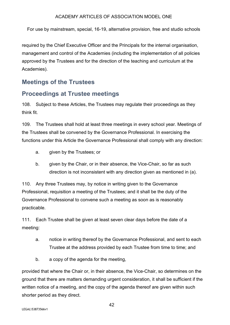For use by mainstream, special, 16-19, alternative provision, free and studio schools

required by the Chief Executive Officer and the Principals for the internal organisation, management and control of the Academies (including the implementation of all policies approved by the Trustees and for the direction of the teaching and curriculum at the Academies).

# **Meetings of the Trustees**

# **Proceedings at Trustee meetings**

108. Subject to these Articles, the Trustees may regulate their proceedings as they think fit.

109. The Trustees shall hold at least three meetings in every school year. Meetings of the Trustees shall be convened by the Governance Professional. In exercising the functions under this Article the Governance Professional shall comply with any direction:

- a. given by the Trustees; or
- b. given by the Chair, or in their absence, the Vice-Chair, so far as such direction is not inconsistent with any direction given as mentioned in (a).

110. Any three Trustees may, by notice in writing given to the Governance Professional, requisition a meeting of the Trustees; and it shall be the duty of the Governance Professional to convene such a meeting as soon as is reasonably practicable.

111. Each Trustee shall be given at least seven clear days before the date of a meeting:

- a. notice in writing thereof by the Governance Professional, and sent to each Trustee at the address provided by each Trustee from time to time; and
- b. a copy of the agenda for the meeting,

provided that where the Chair or, in their absence, the Vice-Chair, so determines on the ground that there are matters demanding urgent consideration, it shall be sufficient if the written notice of a meeting, and the copy of the agenda thereof are given within such shorter period as they direct.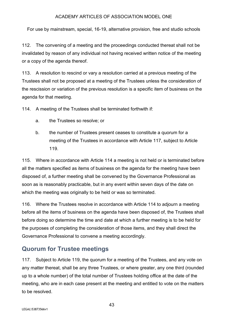For use by mainstream, special, 16-19, alternative provision, free and studio schools

112. The convening of a meeting and the proceedings conducted thereat shall not be invalidated by reason of any individual not having received written notice of the meeting or a copy of the agenda thereof.

113. A resolution to rescind or vary a resolution carried at a previous meeting of the Trustees shall not be proposed at a meeting of the Trustees unless the consideration of the rescission or variation of the previous resolution is a specific item of business on the agenda for that meeting.

114. A meeting of the Trustees shall be terminated forthwith if:

- a. the Trustees so resolve; or
- b. the number of Trustees present ceases to constitute a quorum for a meeting of the Trustees in accordance with Article 117, subject to Article 119.

115. Where in accordance with Article 114 a meeting is not held or is terminated before all the matters specified as items of business on the agenda for the meeting have been disposed of, a further meeting shall be convened by the Governance Professional as soon as is reasonably practicable, but in any event within seven days of the date on which the meeting was originally to be held or was so terminated.

116. Where the Trustees resolve in accordance with Article 114 to adjourn a meeting before all the items of business on the agenda have been disposed of, the Trustees shall before doing so determine the time and date at which a further meeting is to be held for the purposes of completing the consideration of those items, and they shall direct the Governance Professional to convene a meeting accordingly.

# **Quorum for Trustee meetings**

117. Subject to Article 119, the quorum for a meeting of the Trustees, and any vote on any matter thereat, shall be any three Trustees, or where greater, any one third (rounded up to a whole number) of the total number of Trustees holding office at the date of the meeting, who are in each case present at the meeting and entitled to vote on the matters to be resolved.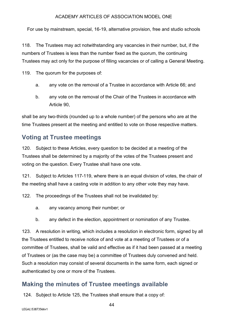For use by mainstream, special, 16-19, alternative provision, free and studio schools

118. The Trustees may act notwithstanding any vacancies in their number, but, if the numbers of Trustees is less than the number fixed as the quorum, the continuing Trustees may act only for the purpose of filling vacancies or of calling a General Meeting.

119. The quorum for the purposes of:

- a. any vote on the removal of a Trustee in accordance with Article 66; and
- b. any vote on the removal of the Chair of the Trustees in accordance with Article 90,

shall be any two-thirds (rounded up to a whole number) of the persons who are at the time Trustees present at the meeting and entitled to vote on those respective matters.

# **Voting at Trustee meetings**

120. Subject to these Articles, every question to be decided at a meeting of the Trustees shall be determined by a majority of the votes of the Trustees present and voting on the question. Every Trustee shall have one vote.

121. Subject to Articles 117-119, where there is an equal division of votes, the chair of the meeting shall have a casting vote in addition to any other vote they may have.

122. The proceedings of the Trustees shall not be invalidated by:

- a. any vacancy among their number; or
- b. any defect in the election, appointment or nomination of any Trustee.

123. A resolution in writing, which includes a resolution in electronic form, signed by all the Trustees entitled to receive notice of and vote at a meeting of Trustees or of a committee of Trustees, shall be valid and effective as if it had been passed at a meeting of Trustees or (as the case may be) a committee of Trustees duly convened and held. Such a resolution may consist of several documents in the same form, each signed or authenticated by one or more of the Trustees.

## **Making the minutes of Trustee meetings available**

124. Subject to Article 125, the Trustees shall ensure that a copy of: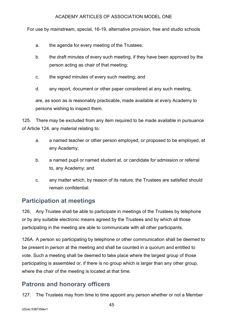For use by mainstream, special, 16-19, alternative provision, free and studio schools

- a. the agenda for every meeting of the Trustees;
- b. the draft minutes of every such meeting, if they have been approved by the person acting as chair of that meeting;
- c. the signed minutes of every such meeting; and
- d. any report, document or other paper considered at any such meeting,

are, as soon as is reasonably practicable, made available at every Academy to persons wishing to inspect them.

125. There may be excluded from any item required to be made available in pursuance of Article 124, any material relating to:

- a. a named teacher or other person employed, or proposed to be employed, at any Academy;
- b. a named pupil or named student at, or candidate for admission or referral to, any Academy; and
- c. any matter which, by reason of its nature, the Trustees are satisfied should remain confidential.

# **Participation at meetings**

126. Any Trustee shall be able to participate in meetings of the Trustees by telephone or by any suitable electronic means agreed by the Trustees and by which all those participating in the meeting are able to communicate with all other participants.

126A. A person so participating by telephone or other communication shall be deemed to be present in person at the meeting and shall be counted in a quorum and entitled to vote. Such a meeting shall be deemed to take place where the largest group of those participating is assembled or, if there is no group which is larger than any other group, where the chair of the meeting is located at that time.

# **Patrons and honorary officers**

127. The Trustees may from time to time appoint any person whether or not a Member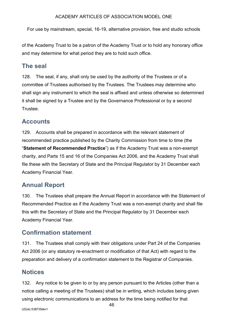For use by mainstream, special, 16-19, alternative provision, free and studio schools

of the Academy Trust to be a patron of the Academy Trust or to hold any honorary office and may determine for what period they are to hold such office.

# **The seal**

128. The seal, if any, shall only be used by the authority of the Trustees or of a committee of Trustees authorised by the Trustees. The Trustees may determine who shall sign any instrument to which the seal is affixed and unless otherwise so determined it shall be signed by a Trustee and by the Governance Professional or by a second Trustee.

# **Accounts**

129. Accounts shall be prepared in accordance with the relevant statement of recommended practice published by the Charity Commission from time to time (the "**Statement of Recommended Practice**") as if the Academy Trust was a non-exempt charity, and Parts 15 and 16 of the Companies Act 2006, and the Academy Trust shall file these with the Secretary of State and the Principal Regulator by 31 December each Academy Financial Year.

# **Annual Report**

130. The Trustees shall prepare the Annual Report in accordance with the Statement of Recommended Practice as if the Academy Trust was a non-exempt charity and shall file this with the Secretary of State and the Principal Regulator by 31 December each Academy Financial Year.

# **Confirmation statement**

131. The Trustees shall comply with their obligations under Part 24 of the Companies Act 2006 (or any statutory re-enactment or modification of that Act) with regard to the preparation and delivery of a confirmation statement to the Registrar of Companies.

# **Notices**

132. Any notice to be given to or by any person pursuant to the Articles (other than a notice calling a meeting of the Trustees) shall be in writing, which includes being given using electronic communications to an address for the time being notified for that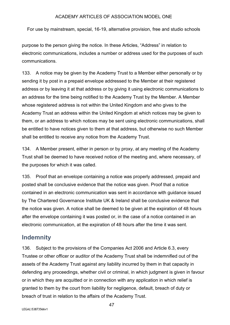For use by mainstream, special, 16-19, alternative provision, free and studio schools

purpose to the person giving the notice. In these Articles, "Address" in relation to electronic communications, includes a number or address used for the purposes of such communications.

133. A notice may be given by the Academy Trust to a Member either personally or by sending it by post in a prepaid envelope addressed to the Member at their registered address or by leaving it at that address or by giving it using electronic communications to an address for the time being notified to the Academy Trust by the Member. A Member whose registered address is not within the United Kingdom and who gives to the Academy Trust an address within the United Kingdom at which notices may be given to them, or an address to which notices may be sent using electronic communications, shall be entitled to have notices given to them at that address, but otherwise no such Member shall be entitled to receive any notice from the Academy Trust.

134. A Member present, either in person or by proxy, at any meeting of the Academy Trust shall be deemed to have received notice of the meeting and, where necessary, of the purposes for which it was called.

135. Proof that an envelope containing a notice was properly addressed, prepaid and posted shall be conclusive evidence that the notice was given. Proof that a notice contained in an electronic communication was sent in accordance with guidance issued by The Chartered Governance Institute UK & Ireland shall be conclusive evidence that the notice was given. A notice shall be deemed to be given at the expiration of 48 hours after the envelope containing it was posted or, in the case of a notice contained in an electronic communication, at the expiration of 48 hours after the time it was sent.

## **Indemnity**

136. Subject to the provisions of the Companies Act 2006 and Article 6.3, every Trustee or other officer or auditor of the Academy Trust shall be indemnified out of the assets of the Academy Trust against any liability incurred by them in that capacity in defending any proceedings, whether civil or criminal, in which judgment is given in favour or in which they are acquitted or in connection with any application in which relief is granted to them by the court from liability for negligence, default, breach of duty or breach of trust in relation to the affairs of the Academy Trust.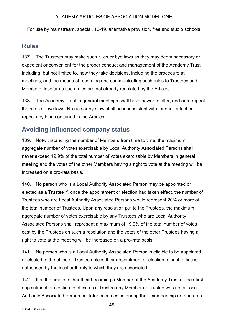For use by mainstream, special, 16-19, alternative provision, free and studio schools

## **Rules**

137. The Trustees may make such rules or bye laws as they may deem necessary or expedient or convenient for the proper conduct and management of the Academy Trust including, but not limited to, how they take decisions, including the procedure at meetings, and the means of recording and communicating such rules to Trustees and Members, insofar as such rules are not already regulated by the Articles.

138. The Academy Trust in general meetings shall have power to alter, add or to repeal the rules or bye laws. No rule or bye law shall be inconsistent with, or shall affect or repeal anything contained in the Articles.

## **Avoiding influenced company status**

139. Notwithstanding the number of Members from time to time, the maximum aggregate number of votes exercisable by Local Authority Associated Persons shall never exceed 19.9% of the total number of votes exercisable by Members in general meeting and the votes of the other Members having a right to vote at the meeting will be increased on a pro-rata basis.

140. No person who is a Local Authority Associated Person may be appointed or elected as a Trustee if, once the appointment or election had taken effect, the number of Trustees who are Local Authority Associated Persons would represent 20% or more of the total number of Trustees. Upon any resolution put to the Trustees, the maximum aggregate number of votes exercisable by any Trustees who are Local Authority Associated Persons shall represent a maximum of 19.9% of the total number of votes cast by the Trustees on such a resolution and the votes of the other Trustees having a right to vote at the meeting will be increased on a pro-rata basis.

141. No person who is a Local Authority Associated Person is eligible to be appointed or elected to the office of Trustee unless their appointment or election to such office is authorised by the local authority to which they are associated.

142. If at the time of either their becoming a Member of the Academy Trust or their first appointment or election to office as a Trustee any Member or Trustee was not a Local Authority Associated Person but later becomes so during their membership or tenure as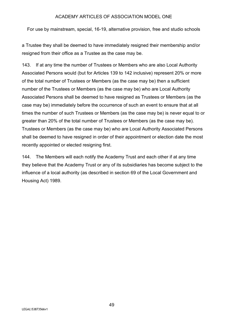For use by mainstream, special, 16-19, alternative provision, free and studio schools

a Trustee they shall be deemed to have immediately resigned their membership and/or resigned from their office as a Trustee as the case may be.

143. If at any time the number of Trustees or Members who are also Local Authority Associated Persons would (but for Articles 139 to 142 inclusive) represent 20% or more of the total number of Trustees or Members (as the case may be) then a sufficient number of the Trustees or Members (as the case may be) who are Local Authority Associated Persons shall be deemed to have resigned as Trustees or Members (as the case may be) immediately before the occurrence of such an event to ensure that at all times the number of such Trustees or Members (as the case may be) is never equal to or greater than 20% of the total number of Trustees or Members (as the case may be). Trustees or Members (as the case may be) who are Local Authority Associated Persons shall be deemed to have resigned in order of their appointment or election date the most recently appointed or elected resigning first.

144. The Members will each notify the Academy Trust and each other if at any time they believe that the Academy Trust or any of its subsidiaries has become subject to the influence of a local authority (as described in section 69 of the Local Government and Housing Act) 1989.